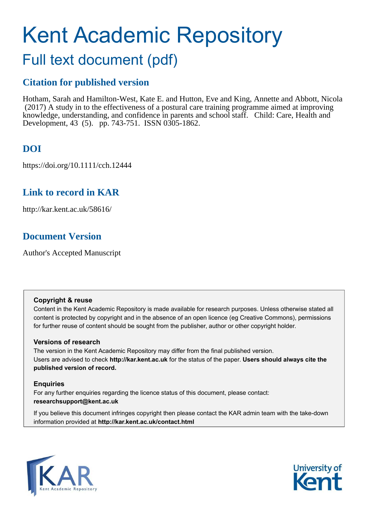# Kent Academic Repository

## Full text document (pdf)

## **Citation for published version**

Hotham, Sarah and Hamilton-West, Kate E. and Hutton, Eve and King, Annette and Abbott, Nicola (2017) A study in to the effectiveness of a postural care training programme aimed at improving knowledge, understanding, and confidence in parents and school staff. Child: Care, Health and Development, 43 (5). pp. 743-751. ISSN 0305-1862.

## **DOI**

https://doi.org/10.1111/cch.12444

## **Link to record in KAR**

http://kar.kent.ac.uk/58616/

## **Document Version**

Author's Accepted Manuscript

#### **Copyright & reuse**

Content in the Kent Academic Repository is made available for research purposes. Unless otherwise stated all content is protected by copyright and in the absence of an open licence (eg Creative Commons), permissions for further reuse of content should be sought from the publisher, author or other copyright holder.

#### **Versions of research**

The version in the Kent Academic Repository may differ from the final published version. Users are advised to check **http://kar.kent.ac.uk** for the status of the paper. **Users should always cite the published version of record.**

#### **Enquiries**

For any further enquiries regarding the licence status of this document, please contact: **researchsupport@kent.ac.uk**

If you believe this document infringes copyright then please contact the KAR admin team with the take-down information provided at **http://kar.kent.ac.uk/contact.html**



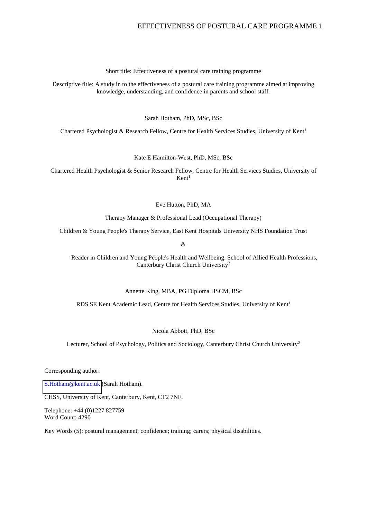Short title: Effectiveness of a postural care training programme

Descriptive title: A study in to the effectiveness of a postural care training programme aimed at improving knowledge, understanding, and confidence in parents and school staff.

Sarah Hotham, PhD, MSc, BSc

Chartered Psychologist & Research Fellow, Centre for Health Services Studies, University of Kent<sup>1</sup>

Kate E Hamilton-West, PhD, MSc, BSc

Chartered Health Psychologist & Senior Research Fellow, Centre for Health Services Studies, University of  $Kent<sup>1</sup>$ 

Eve Hutton, PhD, MA

Therapy Manager & Professional Lead (Occupational Therapy)

Children & Young People's Therapy Service, East Kent Hospitals University NHS Foundation Trust

&

 Reader in Children and Young People's Health and Wellbeing. School of Allied Health Professions, Canterbury Christ Church University<sup>2</sup>

Annette King, MBA, PG Diploma HSCM, BSc

RDS SE Kent Academic Lead, Centre for Health Services Studies, University of Kent<sup>1</sup>

Nicola Abbott, PhD, BSc

Lecturer, School of Psychology, Politics and Sociology, Canterbury Christ Church University<sup>2</sup>

Corresponding author:

[S.Hotham@kent.ac.uk](mailto:S.Hotham@kent.ac.uk) (Sarah Hotham).

CHSS, University of Kent, Canterbury, Kent, CT2 7NF.

Telephone: +44 (0)1227 827759 Word Count: 4290

Key Words (5): postural management; confidence; training; carers; physical disabilities.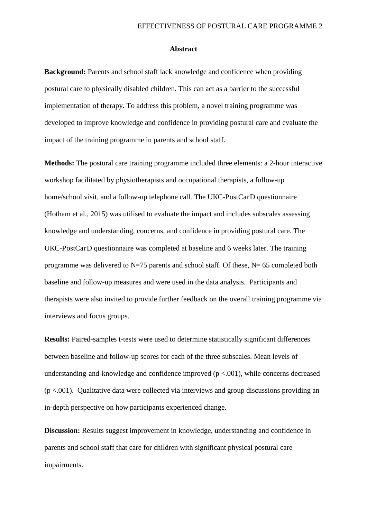#### **Abstract**

**Background:** Parents and school staff lack knowledge and confidence when providing postural care to physically disabled children. This can act as a barrier to the successful implementation of therapy. To address this problem, a novel training programme was developed to improve knowledge and confidence in providing postural care and evaluate the impact of the training programme in parents and school staff.

**Methods:** The postural care training programme included three elements: a 2-hour interactive workshop facilitated by physiotherapists and occupational therapists, a follow-up home/school visit, and a follow-up telephone call. The UKC-PostCarD questionnaire (Hotham et al., 2015) was utilised to evaluate the impact and includes subscales assessing knowledge and understanding, concerns, and confidence in providing postural care. The UKC-PostCarD questionnaire was completed at baseline and 6 weeks later. The training programme was delivered to  $N=75$  parents and school staff. Of these,  $N=65$  completed both baseline and follow-up measures and were used in the data analysis. Participants and therapists were also invited to provide further feedback on the overall training programme via interviews and focus groups.

**Results:** Paired-samples t-tests were used to determine statistically significant differences between baseline and follow-up scores for each of the three subscales. Mean levels of understanding-and-knowledge and confidence improved  $(p < .001)$ , while concerns decreased  $(p < .001)$ . Qualitative data were collected via interviews and group discussions providing an in-depth perspective on how participants experienced change.

**Discussion:** Results suggest improvement in knowledge, understanding and confidence in parents and school staff that care for children with significant physical postural care impairments.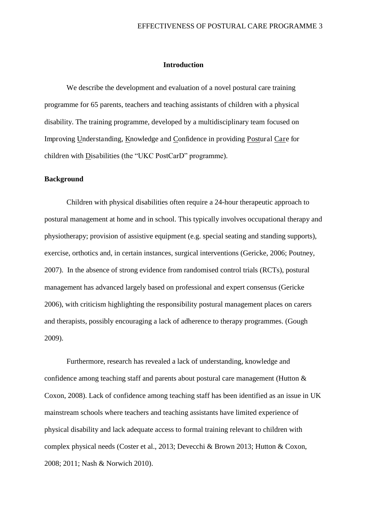#### **Introduction**

 We describe the development and evaluation of a novel postural care training programme for 65 parents, teachers and teaching assistants of children with a physical disability. The training programme, developed by a multidisciplinary team focused on Improving Understanding, Knowledge and Confidence in providing Postural Care for children with Disabilities (the "UKC PostCarD" programme).

#### **Background**

Children with physical disabilities often require a 24-hour therapeutic approach to postural management at home and in school. This typically involves occupational therapy and physiotherapy; provision of assistive equipment (e.g. special seating and standing supports), exercise, orthotics and, in certain instances, surgical interventions (Gericke, 2006; Poutney, 2007). In the absence of strong evidence from randomised control trials (RCTs), postural management has advanced largely based on professional and expert consensus (Gericke 2006), with criticism highlighting the responsibility postural management places on carers and therapists, possibly encouraging a lack of adherence to therapy programmes. (Gough 2009).

Furthermore, research has revealed a lack of understanding, knowledge and confidence among teaching staff and parents about postural care management (Hutton & Coxon, 2008). Lack of confidence among teaching staff has been identified as an issue in UK mainstream schools where teachers and teaching assistants have limited experience of physical disability and lack adequate access to formal training relevant to children with complex physical needs (Coster et al., 2013; Devecchi & Brown 2013; Hutton & Coxon, 2008; 2011; Nash & Norwich 2010).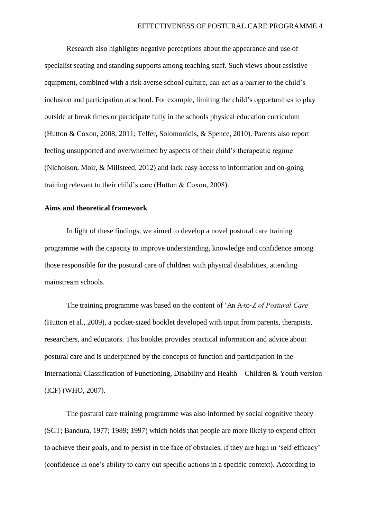Research also highlights negative perceptions about the appearance and use of specialist seating and standing supports among teaching staff. Such views about assistive equipment, combined with a risk averse school culture, can act as a barrier to the child's inclusion and participation at school. For example, limiting the child's opportunities to play outside at break times or participate fully in the schools physical education curriculum (Hutton & Coxon, 2008; 2011; Telfer, Solomonidis, & Spence, 2010). Parents also report feeling unsupported and overwhelmed by aspects of their child's therapeutic regime (Nicholson, Moir, & Millsteed, 2012) and lack easy access to information and on-going training relevant to their child's care (Hutton & Coxon, 2008).

#### **Aims and theoretical framework**

In light of these findings, we aimed to develop a novel postural care training programme with the capacity to improve understanding, knowledge and confidence among those responsible for the postural care of children with physical disabilities, attending mainstream schools.

The training programme was based on the content of 'An A-to-*Z of Postural Care'* (Hutton et al., 2009), a pocket-sized booklet developed with input from parents, therapists, researchers, and educators. This booklet provides practical information and advice about postural care and is underpinned by the concepts of function and participation in the International Classification of Functioning, Disability and Health – Children & Youth version (ICF) (WHO, 2007).

The postural care training programme was also informed by social cognitive theory (SCT; Bandura, 1977; 1989; 1997) which holds that people are more likely to expend effort to achieve their goals, and to persist in the face of obstacles, if they are high in 'self-efficacy' (confidence in one's ability to carry out specific actions in a specific context). According to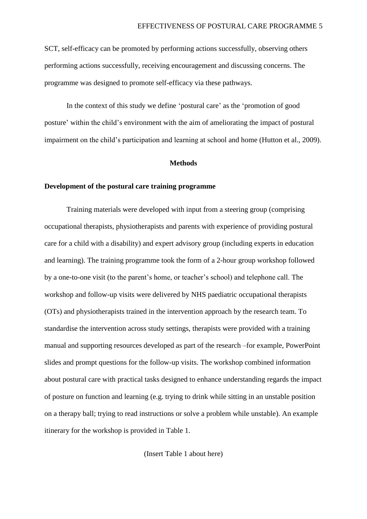SCT, self-efficacy can be promoted by performing actions successfully, observing others performing actions successfully, receiving encouragement and discussing concerns. The programme was designed to promote self-efficacy via these pathways.

In the context of this study we define 'postural care' as the 'promotion of good posture' within the child's environment with the aim of ameliorating the impact of postural impairment on the child's participation and learning at school and home (Hutton et al., 2009).

#### **Methods**

#### **Development of the postural care training programme**

Training materials were developed with input from a steering group (comprising occupational therapists, physiotherapists and parents with experience of providing postural care for a child with a disability) and expert advisory group (including experts in education and learning). The training programme took the form of a 2-hour group workshop followed by a one-to-one visit (to the parent's home, or teacher's school) and telephone call. The workshop and follow-up visits were delivered by NHS paediatric occupational therapists (OTs) and physiotherapists trained in the intervention approach by the research team. To standardise the intervention across study settings, therapists were provided with a training manual and supporting resources developed as part of the research –for example, PowerPoint slides and prompt questions for the follow-up visits. The workshop combined information about postural care with practical tasks designed to enhance understanding regards the impact of posture on function and learning (e.g. trying to drink while sitting in an unstable position on a therapy ball; trying to read instructions or solve a problem while unstable). An example itinerary for the workshop is provided in Table 1.

(Insert Table 1 about here)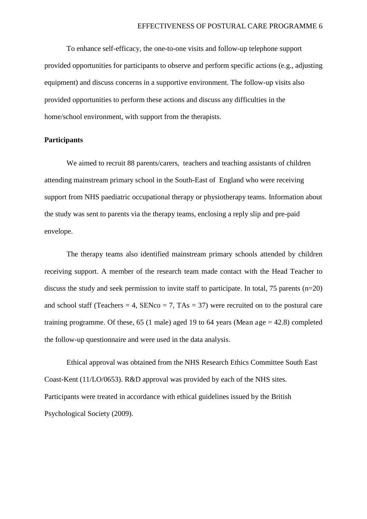To enhance self-efficacy, the one-to-one visits and follow-up telephone support provided opportunities for participants to observe and perform specific actions (e.g., adjusting equipment) and discuss concerns in a supportive environment. The follow-up visits also provided opportunities to perform these actions and discuss any difficulties in the home/school environment, with support from the therapists.

#### **Participants**

We aimed to recruit 88 parents/carers, teachers and teaching assistants of children attending mainstream primary school in the South-East of England who were receiving support from NHS paediatric occupational therapy or physiotherapy teams. Information about the study was sent to parents via the therapy teams, enclosing a reply slip and pre-paid envelope.

The therapy teams also identified mainstream primary schools attended by children receiving support. A member of the research team made contact with the Head Teacher to discuss the study and seek permission to invite staff to participate. In total,  $75$  parents (n=20) and school staff (Teachers  $= 4$ , SENco  $= 7$ , TAs  $= 37$ ) were recruited on to the postural care training programme. Of these,  $65$  (1 male) aged 19 to  $64$  years (Mean age = 42.8) completed the follow-up questionnaire and were used in the data analysis.

Ethical approval was obtained from the NHS Research Ethics Committee South East Coast-Kent (11/LO/0653). R&D approval was provided by each of the NHS sites. Participants were treated in accordance with ethical guidelines issued by the British Psychological Society (2009).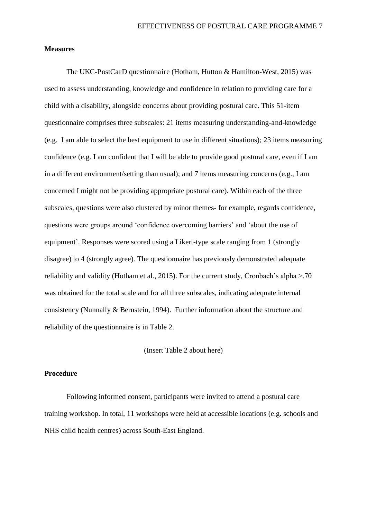#### **Measures**

The UKC-PostCarD questionnaire (Hotham, Hutton & Hamilton-West, 2015) was used to assess understanding, knowledge and confidence in relation to providing care for a child with a disability, alongside concerns about providing postural care. This 51-item questionnaire comprises three subscales: 21 items measuring understanding-and-knowledge (e.g. I am able to select the best equipment to use in different situations); 23 items measuring confidence (e.g. I am confident that I will be able to provide good postural care, even if I am in a different environment/setting than usual); and 7 items measuring concerns (e.g., I am concerned I might not be providing appropriate postural care). Within each of the three subscales, questions were also clustered by minor themes- for example, regards confidence, questions were groups around 'confidence overcoming barriers' and 'about the use of equipment'. Responses were scored using a Likert-type scale ranging from 1 (strongly disagree) to 4 (strongly agree). The questionnaire has previously demonstrated adequate reliability and validity (Hotham et al., 2015). For the current study, Cronbach's alpha  $> 70$ was obtained for the total scale and for all three subscales, indicating adequate internal consistency (Nunnally & Bernstein, 1994). Further information about the structure and reliability of the questionnaire is in Table 2.

#### (Insert Table 2 about here)

#### **Procedure**

Following informed consent, participants were invited to attend a postural care training workshop. In total, 11 workshops were held at accessible locations (e.g. schools and NHS child health centres) across South-East England.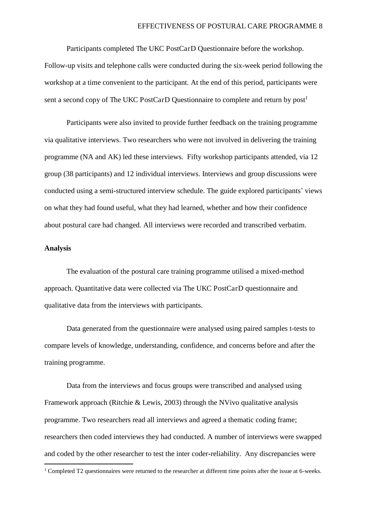Participants completed The UKC PostCarD Questionnaire before the workshop. Follow-up visits and telephone calls were conducted during the six-week period following the workshop at a time convenient to the participant. At the end of this period, participants were sent a second copy of The UKC PostCarD Questionnaire to complete and return by post<sup>1</sup>

Participants were also invited to provide further feedback on the training programme via qualitative interviews. Two researchers who were not involved in delivering the training programme (NA and AK) led these interviews. Fifty workshop participants attended, via 12 group (38 participants) and 12 individual interviews. Interviews and group discussions were conducted using a semi-structured interview schedule. The guide explored participants' views on what they had found useful, what they had learned, whether and how their confidence about postural care had changed. All interviews were recorded and transcribed verbatim.

#### **Analysis**

<u>.</u>

The evaluation of the postural care training programme utilised a mixed-method approach. Quantitative data were collected via The UKC PostCarD questionnaire and qualitative data from the interviews with participants.

 Data generated from the questionnaire were analysed using paired samples t-tests to compare levels of knowledge, understanding, confidence, and concerns before and after the training programme.

 Data from the interviews and focus groups were transcribed and analysed using Framework approach (Ritchie & Lewis, 2003) through the NVivo qualitative analysis programme. Two researchers read all interviews and agreed a thematic coding frame; researchers then coded interviews they had conducted. A number of interviews were swapped and coded by the other researcher to test the inter coder-reliability. Any discrepancies were

<sup>&</sup>lt;sup>1</sup> Completed T2 questionnaires were returned to the researcher at different time points after the issue at 6-weeks.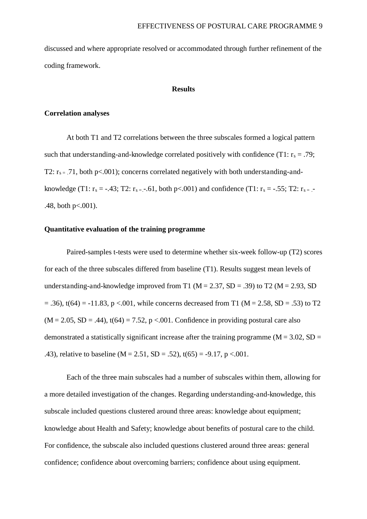discussed and where appropriate resolved or accommodated through further refinement of the coding framework.

#### **Results**

#### **Correlation analyses**

At both T1 and T2 correlations between the three subscales formed a logical pattern such that understanding-and-knowledge correlated positively with confidence (T1:  $r_s = .79$ ; T2:  $r_{s}$  = .71, both p<.001); concerns correlated negatively with both understanding-andknowledge (T1:  $r_s = -.43$ ; T2:  $r_{s} = -.61$ , both p<.001) and confidence (T1:  $r_s = -.55$ ; T2:  $r_{s} = -.55$ .48, both p<.001).

#### **Quantitative evaluation of the training programme**

Paired-samples t-tests were used to determine whether six-week follow-up (T2) scores for each of the three subscales differed from baseline (T1). Results suggest mean levels of understanding-and-knowledge improved from T1 ( $M = 2.37$ , SD = .39) to T2 ( $M = 2.93$ , SD  $= .36$ , t(64) = -11.83, p <.001, while concerns decreased from T1 (M = 2.58, SD = .53) to T2  $(M = 2.05, SD = .44)$ ,  $t(64) = 7.52$ ,  $p < .001$ . Confidence in providing postural care also demonstrated a statistically significant increase after the training programme ( $M = 3.02$ ,  $SD =$ .43), relative to baseline ( $M = 2.51$ ,  $SD = .52$ ),  $t(65) = -9.17$ ,  $p < .001$ .

Each of the three main subscales had a number of subscales within them, allowing for a more detailed investigation of the changes. Regarding understanding-and-knowledge, this subscale included questions clustered around three areas: knowledge about equipment; knowledge about Health and Safety; knowledge about benefits of postural care to the child. For confidence, the subscale also included questions clustered around three areas: general confidence; confidence about overcoming barriers; confidence about using equipment.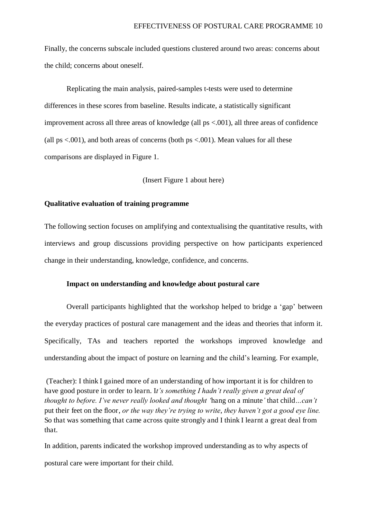Finally, the concerns subscale included questions clustered around two areas: concerns about the child; concerns about oneself.

Replicating the main analysis, paired-samples t-tests were used to determine differences in these scores from baseline. Results indicate, a statistically significant improvement across all three areas of knowledge (all ps <.001), all three areas of confidence (all  $ps < .001$ ), and both areas of concerns (both  $ps < .001$ ). Mean values for all these comparisons are displayed in Figure 1.

#### (Insert Figure 1 about here)

#### **Qualitative evaluation of training programme**

The following section focuses on amplifying and contextualising the quantitative results, with interviews and group discussions providing perspective on how participants experienced change in their understanding, knowledge, confidence, and concerns.

#### **Impact on understanding and knowledge about postural care**

Overall participants highlighted that the workshop helped to bridge a 'gap' between the everyday practices of postural care management and the ideas and theories that inform it. Specifically, TAs and teachers reported the workshops improved knowledge and understanding about the impact of posture on learning and the child's learning. For example,

 (Teacher): I think I gained more of an understanding of how important it is for children to have good posture in order to learn. I*t's something I hadn't really given a great deal of thought to before. I've never really looked and thought '*hang on a minute*'* that child*…can't*  put their feet on the floor, *or the way they're trying to write*, *they haven't got a good eye line.*  So that was something that came across quite strongly and I think I learnt a great deal from that.

In addition, parents indicated the workshop improved understanding as to why aspects of postural care were important for their child.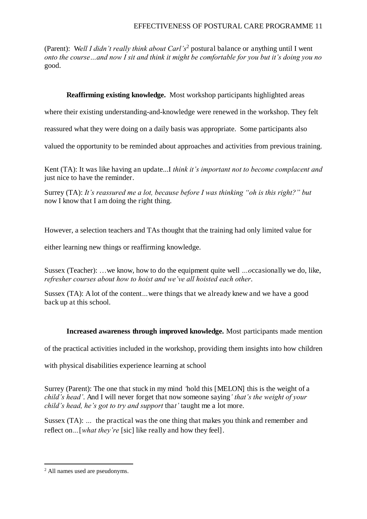(Parent): Well I didn't really think about Carl's<sup>2</sup> postural balance or anything until I went *onto the course…and now I sit and think it might be comfortable for you but it's doing you no*  good.

#### **Reaffirming existing knowledge.** Most workshop participants highlighted areas

where their existing understanding-and-knowledge were renewed in the workshop. They felt

reassured what they were doing on a daily basis was appropriate. Some participants also

valued the opportunity to be reminded about approaches and activities from previous training.

Kent (TA): It was like having an update...I *think it's important not to become complacent and*  just nice to have the reminder.

Surrey (TA): *It's reassured me a lot, because before I was thinking "oh is this right?" but*  now I know that I am doing the right thing.

However, a selection teachers and TAs thought that the training had only limited value for

either learning new things or reaffirming knowledge.

Sussex (Teacher): …we know, how to do the equipment quite well *…o*ccasionally we do, like, *refresher courses about how to hoist and we've all hoisted each other*.

Sussex (TA): A lot of the content... were things that we already knew and we have a good back up at this school.

#### **Increased awareness through improved knowledge.** Most participants made mention

of the practical activities included in the workshop, providing them insights into how children

with physical disabilities experience learning at school

Surrey (Parent): The one that stuck in my mind *'*hold this [MELON] this is the weight of a *child's head'*. And I will never forget that now someone saying*' that's the weight of your child's head, he's got to try and support* tha*t'* taught me a lot more.

Sussex (TA): ... the practical was the one thing that makes you think and remember and reflect on*…*[*what they're* [sic] like really and how they feel].

<sup>&</sup>lt;u>.</u> 2 All names used are pseudonyms.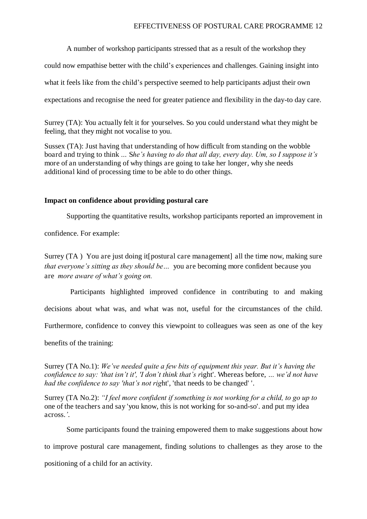A number of workshop participants stressed that as a result of the workshop they

could now empathise better with the child's experiences and challenges. Gaining insight into

what it feels like from the child's perspective seemed to help participants adjust their own

expectations and recognise the need for greater patience and flexibility in the day-to day care.

Surrey (TA): You actually felt it for yourselves. So you could understand what they might be feeling, that they might not vocalise to you.

Sussex (TA): Just having that understanding of how difficult from standing on the wobble board and trying to think *…* S*he's having to do that all day, every day. Um, so I suppose it's*  more of an understanding of why things are going to take her longer, why she needs additional kind of processing time to be able to do other things.

#### **Impact on confidence about providing postural care**

Supporting the quantitative results, workshop participants reported an improvement in

confidence. For example:

Surrey (TA) You are just doing it [postural care management] all the time now, making sure *that everyone's sitting as they should be…* you are becoming more confident because you are *more aware of what's going on.*

Participants highlighted improved confidence in contributing to and making

decisions about what was, and what was not, useful for the circumstances of the child.

Furthermore, confidence to convey this viewpoint to colleagues was seen as one of the key

benefits of the training:

Surrey (TA No.1): *We've needed quite a few bits of equipment this year. But it's having the confidence to say: 'that isn't it', 'I don't think that's r*ight'. Whereas before, *… we'd not have had the confidence to say 'that's not rig*ht', 'that needs to be changed' '.

Surrey (TA No.2): *"I feel more confident if something is not working for a child, to go up to*  one of the teachers and say 'you know, this is not working for so-and-so'. and put my idea across.*'*.

Some participants found the training empowered them to make suggestions about how

to improve postural care management, finding solutions to challenges as they arose to the

positioning of a child for an activity.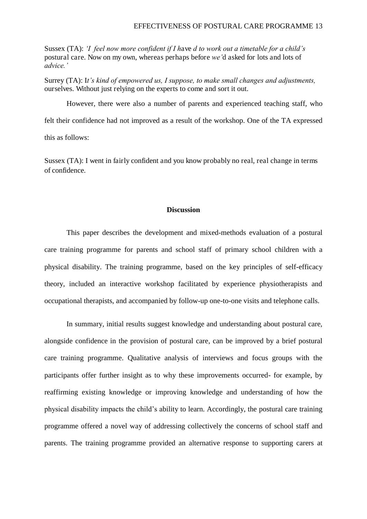Sussex (TA): *'I feel now more confident if I h*ave *d to work out a timetable for a child's*  postural care. Now on my own, whereas perhaps before *we'*d asked for lots and lots of *advice.'*

Surrey (TA): I*t's kind of empowered us, I suppose, to make small changes and adjustments,*  ourselves. Without just relying on the experts to come and sort it out.

However, there were also a number of parents and experienced teaching staff, who felt their confidence had not improved as a result of the workshop. One of the TA expressed this as follows:

Sussex (TA): I went in fairly confident and you know probably no real, real change in terms of confidence.

#### **Discussion**

This paper describes the development and mixed-methods evaluation of a postural care training programme for parents and school staff of primary school children with a physical disability. The training programme, based on the key principles of self-efficacy theory, included an interactive workshop facilitated by experience physiotherapists and occupational therapists, and accompanied by follow-up one-to-one visits and telephone calls.

In summary, initial results suggest knowledge and understanding about postural care, alongside confidence in the provision of postural care, can be improved by a brief postural care training programme. Qualitative analysis of interviews and focus groups with the participants offer further insight as to why these improvements occurred- for example, by reaffirming existing knowledge or improving knowledge and understanding of how the physical disability impacts the child's ability to learn. Accordingly, the postural care training programme offered a novel way of addressing collectively the concerns of school staff and parents. The training programme provided an alternative response to supporting carers at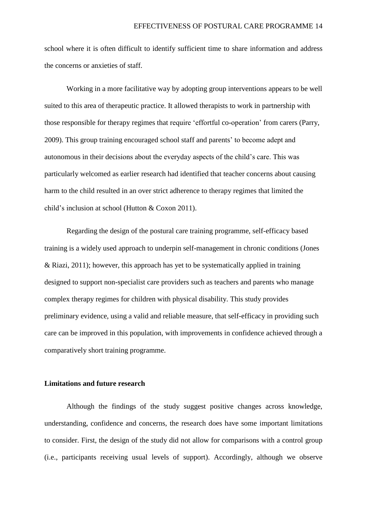school where it is often difficult to identify sufficient time to share information and address the concerns or anxieties of staff.

 Working in a more facilitative way by adopting group interventions appears to be well suited to this area of therapeutic practice. It allowed therapists to work in partnership with those responsible for therapy regimes that require 'effortful co-operation' from carers (Parry, 2009). This group training encouraged school staff and parents' to become adept and autonomous in their decisions about the everyday aspects of the child's care. This was particularly welcomed as earlier research had identified that teacher concerns about causing harm to the child resulted in an over strict adherence to therapy regimes that limited the child's inclusion at school (Hutton & Coxon 2011).

Regarding the design of the postural care training programme, self-efficacy based training is a widely used approach to underpin self-management in chronic conditions (Jones & Riazi, 2011); however, this approach has yet to be systematically applied in training designed to support non-specialist care providers such as teachers and parents who manage complex therapy regimes for children with physical disability. This study provides preliminary evidence, using a valid and reliable measure, that self-efficacy in providing such care can be improved in this population, with improvements in confidence achieved through a comparatively short training programme.

#### **Limitations and future research**

 Although the findings of the study suggest positive changes across knowledge, understanding, confidence and concerns, the research does have some important limitations to consider. First, the design of the study did not allow for comparisons with a control group (i.e., participants receiving usual levels of support). Accordingly, although we observe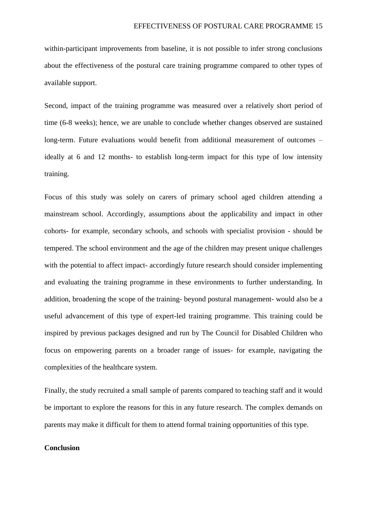within-participant improvements from baseline, it is not possible to infer strong conclusions about the effectiveness of the postural care training programme compared to other types of available support.

Second, impact of the training programme was measured over a relatively short period of time (6-8 weeks); hence, we are unable to conclude whether changes observed are sustained long-term. Future evaluations would benefit from additional measurement of outcomes – ideally at 6 and 12 months- to establish long-term impact for this type of low intensity training.

Focus of this study was solely on carers of primary school aged children attending a mainstream school. Accordingly, assumptions about the applicability and impact in other cohorts- for example, secondary schools, and schools with specialist provision - should be tempered. The school environment and the age of the children may present unique challenges with the potential to affect impact- accordingly future research should consider implementing and evaluating the training programme in these environments to further understanding. In addition, broadening the scope of the training- beyond postural management- would also be a useful advancement of this type of expert-led training programme. This training could be inspired by previous packages designed and run by The Council for Disabled Children who focus on empowering parents on a broader range of issues- for example, navigating the complexities of the healthcare system.

Finally, the study recruited a small sample of parents compared to teaching staff and it would be important to explore the reasons for this in any future research. The complex demands on parents may make it difficult for them to attend formal training opportunities of this type.

#### **Conclusion**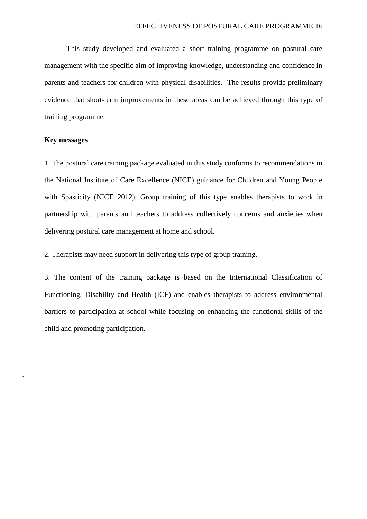This study developed and evaluated a short training programme on postural care management with the specific aim of improving knowledge, understanding and confidence in parents and teachers for children with physical disabilities. The results provide preliminary evidence that short-term improvements in these areas can be achieved through this type of training programme.

#### **Key messages**

.

1. The postural care training package evaluated in this study conforms to recommendations in the National Institute of Care Excellence (NICE) guidance for Children and Young People with Spasticity (NICE 2012). Group training of this type enables therapists to work in partnership with parents and teachers to address collectively concerns and anxieties when delivering postural care management at home and school.

2. Therapists may need support in delivering this type of group training.

3. The content of the training package is based on the International Classification of Functioning, Disability and Health (ICF) and enables therapists to address environmental barriers to participation at school while focusing on enhancing the functional skills of the child and promoting participation.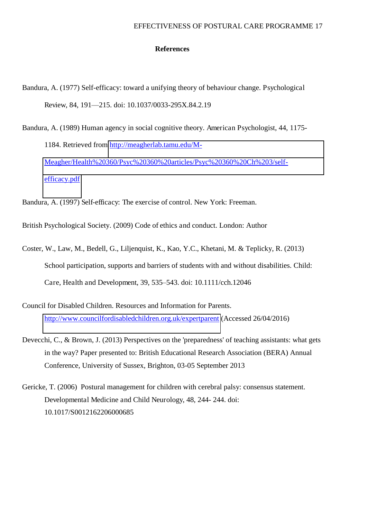#### **References**

- Bandura, A. (1977) Self-efficacy: toward a unifying theory of behaviour change. Psychological Review, 84, 191—215. doi: 10.1037/0033-295X.84.2.19
- Bandura, A. (1989) Human agency in social cognitive theory. American Psychologist, 44, 1175- 1184. Retrieved from [http://meagherlab.tamu.edu/M-](http://meagherlab.tamu.edu/M-Meagher/Health%20360/Psyc%20360%20articles/Psyc%20360%20Ch%203/self-efficacy.pdf)[Meagher/Health%20360/Psyc%20360%20articles/Psyc%20360%20Ch%203/self](http://meagherlab.tamu.edu/M-Meagher/Health%20360/Psyc%20360%20articles/Psyc%20360%20Ch%203/self-efficacy.pdf)[efficacy.pdf](http://meagherlab.tamu.edu/M-Meagher/Health%20360/Psyc%20360%20articles/Psyc%20360%20Ch%203/self-efficacy.pdf)

Bandura, A. (1997) Self-efficacy: The exercise of control. New York: Freeman.

British Psychological Society. (2009) Code of ethics and conduct. London: Author

- Coster, W., Law, M., Bedell, G., Liljenquist, K., Kao, Y.C., Khetani, M. & Teplicky, R. (2013) School participation, supports and barriers of students with and without disabilities. Child: Care, Health and Development, 39, 535–543. doi: 10.1111/cch.12046
- Council for Disabled Children. Resources and Information for Parents. <http://www.councilfordisabledchildren.org.uk/expertparent>(Accessed 26/04/2016)
- Devecchi, C., & Brown, J. (2013) Perspectives on the 'preparedness' of teaching assistants: what gets in the way? Paper presented to: British Educational Research Association (BERA) Annual Conference, University of Sussex, Brighton, 03-05 September 2013
- Gericke, T. (2006) Postural management for children with cerebral palsy: consensus statement. Developmental Medicine and Child Neurology, 48, 244- 244. doi: 10.1017/S0012162206000685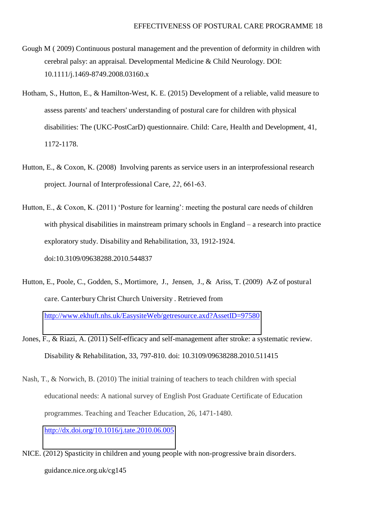- Gough M ( 2009) Continuous postural management and the prevention of deformity in children with cerebral palsy: an appraisal. Developmental Medicine & Child Neurology. DOI: 10.1111/j.1469-8749.2008.03160.x
- Hotham, S., Hutton, E., & Hamilton-West, K. E. (2015) Development of a reliable, valid measure to assess parents' and teachers' understanding of postural care for children with physical disabilities: The (UKC-PostCarD) questionnaire. Child: Care, Health and Development, 41, 1172-1178.
- Hutton, E., & Coxon, K. (2008) Involving parents as service users in an interprofessional research project. Journal of Interprofessional Care, *22*, 661-63.
- Hutton, E., & Coxon, K. (2011) 'Posture for learning': meeting the postural care needs of children with physical disabilities in mainstream primary schools in England – a research into practice exploratory study. Disability and Rehabilitation, 33, 1912-1924. doi:10.3109/09638288.2010.544837
- Hutton, E., Poole, C., Godden, S., Mortimore, J., Jensen, J., & Ariss, T. (2009) A-Z of postural care. Canterbury Christ Church University . Retrieved from <http://www.ekhuft.nhs.uk/EasysiteWeb/getresource.axd?AssetID=97580>
- Jones, F., & Riazi, A. (2011) Self-efficacy and self-management after stroke: a systematic review. Disability & Rehabilitation, 33, 797-810. doi: 10.3109/09638288.2010.511415
- Nash, T., & Norwich, B. (2010) The initial training of teachers to teach children with special educational needs: A national survey of English Post Graduate Certificate of Education programmes. Teaching and Teacher Education, 26, 1471-1480. <http://dx.doi.org/10.1016/j.tate.2010.06.005>
- NICE. (2012) Spasticity in children and young people with non-progressive brain disorders. guidance.nice.org.uk/cg145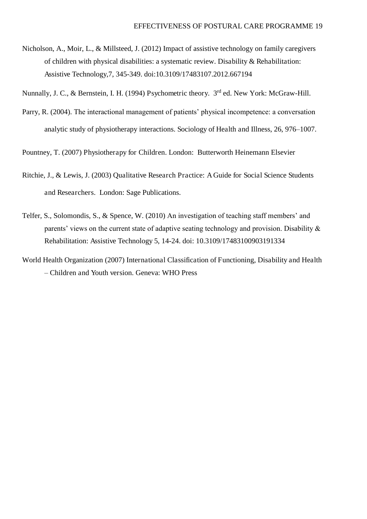Nicholson, A., Moir, L., & Millsteed, J. (2012) Impact of assistive technology on family caregivers of children with physical disabilities: a systematic review. Disability & Rehabilitation: Assistive Technology,7, 345-349. doi:10.3109/17483107.2012.667194

Nunnally, J. C., & Bernstein, I. H. (1994) Psychometric theory. 3<sup>rd</sup> ed. New York: McGraw-Hill.

Parry, R. (2004). The interactional management of patients' physical incompetence: a conversation analytic study of physiotherapy interactions. Sociology of Health and Illness, 26, 976–1007.

Pountney, T. (2007) Physiotherapy for Children. London: Butterworth Heinemann Elsevier

- Ritchie, J., & Lewis, J. (2003) Qualitative Research Practice: A Guide for Social Science Students and Researchers. London: Sage Publications.
- Telfer, S., Solomondis, S., & Spence, W. (2010) An investigation of teaching staff members' and parents' views on the current state of adaptive seating technology and provision. Disability & Rehabilitation: Assistive Technology 5, 14-24. doi: 10.3109/17483100903191334
- World Health Organization (2007) International Classification of Functioning, Disability and Health *–* Children and Youth version. Geneva: WHO Press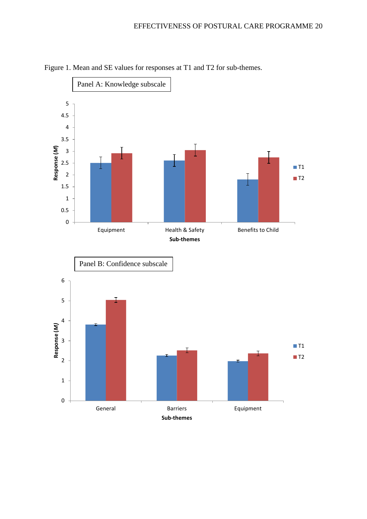

Figure 1. Mean and SE values for responses at T1 and T2 for sub-themes.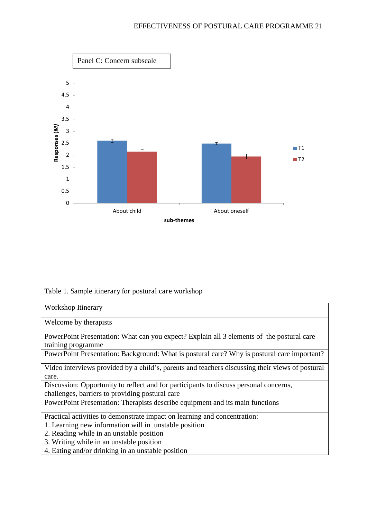

### Table 1. Sample itinerary for postural care workshop

| Workshop Itinerary                                                                              |  |  |  |
|-------------------------------------------------------------------------------------------------|--|--|--|
| Welcome by therapists                                                                           |  |  |  |
| PowerPoint Presentation: What can you expect? Explain all 3 elements of the postural care       |  |  |  |
| training programme                                                                              |  |  |  |
| PowerPoint Presentation: Background: What is postural care? Why is postural care important?     |  |  |  |
| Video interviews provided by a child's, parents and teachers discussing their views of postural |  |  |  |
| care.                                                                                           |  |  |  |
| Discussion: Opportunity to reflect and for participants to discuss personal concerns,           |  |  |  |
| challenges, barriers to providing postural care                                                 |  |  |  |
| PowerPoint Presentation: Therapists describe equipment and its main functions                   |  |  |  |
| Practical activities to demonstrate impact on learning and concentration:                       |  |  |  |
| 1. Learning new information will in unstable position                                           |  |  |  |
| 2. Reading while in an unstable position                                                        |  |  |  |
| 3. Writing while in an unstable position                                                        |  |  |  |

4. Eating and/or drinking in an unstable position